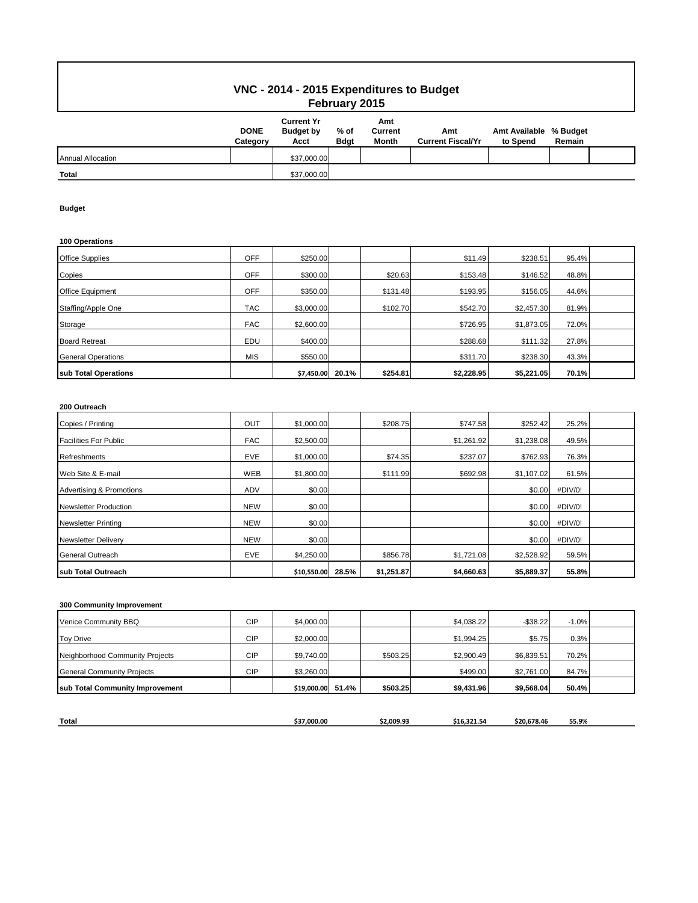## **VNC - 2014 - 2015 Expenditures to Budget February 2015**

|                          | <b>DONE</b><br>Category | <b>Current Yr</b><br><b>Budget by</b><br>Acct | $%$ of<br><b>Bdgt</b> | Amt<br>Current<br><b>Month</b> | Amt<br><b>Current Fiscal/Yr</b> | Amt Available % Budget<br>to Spend | Remain |  |
|--------------------------|-------------------------|-----------------------------------------------|-----------------------|--------------------------------|---------------------------------|------------------------------------|--------|--|
| <b>Annual Allocation</b> |                         | \$37,000.00                                   |                       |                                |                                 |                                    |        |  |
| <b>Total</b>             |                         | \$37,000.00                                   |                       |                                |                                 |                                    |        |  |

### **Budget**

#### **100 Operations**

| sub Total Operations      |            | \$7,450.00 | 20.1% | \$254.81 | \$2,228.95 | \$5,221.05 | 70.1% |  |
|---------------------------|------------|------------|-------|----------|------------|------------|-------|--|
| <b>General Operations</b> | <b>MIS</b> | \$550.00   |       |          | \$311.70   | \$238.30   | 43.3% |  |
| <b>Board Retreat</b>      | EDU        | \$400.00   |       |          | \$288.68   | \$111.32   | 27.8% |  |
| Storage                   | <b>FAC</b> | \$2,600.00 |       |          | \$726.95   | \$1,873.05 | 72.0% |  |
| Staffing/Apple One        | <b>TAC</b> | \$3,000.00 |       | \$102.70 | \$542.70   | \$2,457.30 | 81.9% |  |
| <b>Office Equipment</b>   | <b>OFF</b> | \$350.00   |       | \$131.48 | \$193.95   | \$156.05   | 44.6% |  |
| Copies                    | <b>OFF</b> | \$300.00   |       | \$20.63  | \$153.48   | \$146.52   | 48.8% |  |
| <b>Office Supplies</b>    | <b>OFF</b> | \$250.00   |       |          | \$11.49    | \$238.51   | 95.4% |  |

### **200 Outreach**

| Copies / Printing                   | OUT        | \$1,000.00  |       | \$208.75   | \$747.58   | \$252.42   | 25.2%   |  |
|-------------------------------------|------------|-------------|-------|------------|------------|------------|---------|--|
| <b>Facilities For Public</b>        | <b>FAC</b> | \$2,500.00  |       |            | \$1,261.92 | \$1,238.08 | 49.5%   |  |
| <b>Refreshments</b>                 | <b>EVE</b> | \$1,000.00  |       | \$74.35    | \$237.07   | \$762.93   | 76.3%   |  |
| Web Site & E-mail                   | WEB        | \$1,800.00  |       | \$111.99   | \$692.98   | \$1,107.02 | 61.5%   |  |
| <b>Advertising &amp; Promotions</b> | <b>ADV</b> | \$0.00      |       |            |            | \$0.00     | #DIV/0! |  |
| <b>Newsletter Production</b>        | <b>NEW</b> | \$0.00      |       |            |            | \$0.00     | #DIV/0! |  |
| <b>Newsletter Printing</b>          | <b>NEW</b> | \$0.00      |       |            |            | \$0.00     | #DIV/0! |  |
| <b>Newsletter Delivery</b>          | <b>NEW</b> | \$0.00      |       |            |            | \$0.00     | #DIV/0! |  |
| <b>General Outreach</b>             | <b>EVE</b> | \$4,250.00  |       | \$856.78   | \$1,721.08 | \$2,528.92 | 59.5%   |  |
| sub Total Outreach                  |            | \$10,550.00 | 28.5% | \$1,251.87 | \$4,660.63 | \$5,889.37 | 55.8%   |  |

### **300 Community Improvement**

| sub Total Community Improvement   |            | \$19,000.00 51.4% | \$503.25 | \$9,431.96 | \$9,568.04  | 50.4%   |  |
|-----------------------------------|------------|-------------------|----------|------------|-------------|---------|--|
|                                   |            |                   |          |            |             |         |  |
| <b>General Community Projects</b> | CIP        | \$3,260.00        |          | \$499.00   | \$2,761.00  | 84.7%   |  |
| Neighborhood Community Projects   | <b>CIP</b> | \$9,740.00        | \$503.25 | \$2,900.49 | \$6,839.51  | 70.2%   |  |
| <b>Toy Drive</b>                  | <b>CIP</b> | \$2,000.00        |          | \$1,994.25 | \$5.75      | 0.3%    |  |
| Venice Community BBQ              | <b>CIP</b> | \$4,000.00        |          | \$4,038.22 | $-$ \$38.22 | $-1.0%$ |  |

| <b>Total</b> | 37.000.00 | \$2.009.93 | ----<br>516.<br>- 54<br>34. | ----<br>S20.678.46 | 55.9% |
|--------------|-----------|------------|-----------------------------|--------------------|-------|
|              |           |            |                             |                    |       |